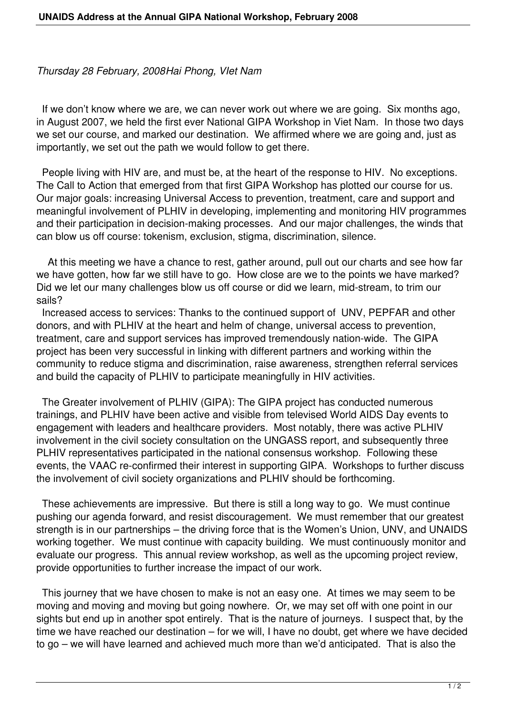*Thursday 28 February, 2008Hai Phong, VIet Nam*

 If we don't know where we are, we can never work out where we are going. Six months ago, in August 2007, we held the first ever National GIPA Workshop in Viet Nam. In those two days we set our course, and marked our destination. We affirmed where we are going and, just as importantly, we set out the path we would follow to get there.

 People living with HIV are, and must be, at the heart of the response to HIV. No exceptions. The Call to Action that emerged from that first GIPA Workshop has plotted our course for us. Our major goals: increasing Universal Access to prevention, treatment, care and support and meaningful involvement of PLHIV in developing, implementing and monitoring HIV programmes and their participation in decision-making processes. And our major challenges, the winds that can blow us off course: tokenism, exclusion, stigma, discrimination, silence.

 At this meeting we have a chance to rest, gather around, pull out our charts and see how far we have gotten, how far we still have to go. How close are we to the points we have marked? Did we let our many challenges blow us off course or did we learn, mid-stream, to trim our sails?

 Increased access to services: Thanks to the continued support of UNV, PEPFAR and other donors, and with PLHIV at the heart and helm of change, universal access to prevention, treatment, care and support services has improved tremendously nation-wide. The GIPA project has been very successful in linking with different partners and working within the community to reduce stigma and discrimination, raise awareness, strengthen referral services and build the capacity of PLHIV to participate meaningfully in HIV activities.

 The Greater involvement of PLHIV (GIPA): The GIPA project has conducted numerous trainings, and PLHIV have been active and visible from televised World AIDS Day events to engagement with leaders and healthcare providers. Most notably, there was active PLHIV involvement in the civil society consultation on the UNGASS report, and subsequently three PLHIV representatives participated in the national consensus workshop. Following these events, the VAAC re-confirmed their interest in supporting GIPA. Workshops to further discuss the involvement of civil society organizations and PLHIV should be forthcoming.

 These achievements are impressive. But there is still a long way to go. We must continue pushing our agenda forward, and resist discouragement. We must remember that our greatest strength is in our partnerships – the driving force that is the Women's Union, UNV, and UNAIDS working together. We must continue with capacity building. We must continuously monitor and evaluate our progress. This annual review workshop, as well as the upcoming project review, provide opportunities to further increase the impact of our work.

 This journey that we have chosen to make is not an easy one. At times we may seem to be moving and moving and moving but going nowhere. Or, we may set off with one point in our sights but end up in another spot entirely. That is the nature of journeys. I suspect that, by the time we have reached our destination – for we will, I have no doubt, get where we have decided to go – we will have learned and achieved much more than we'd anticipated. That is also the